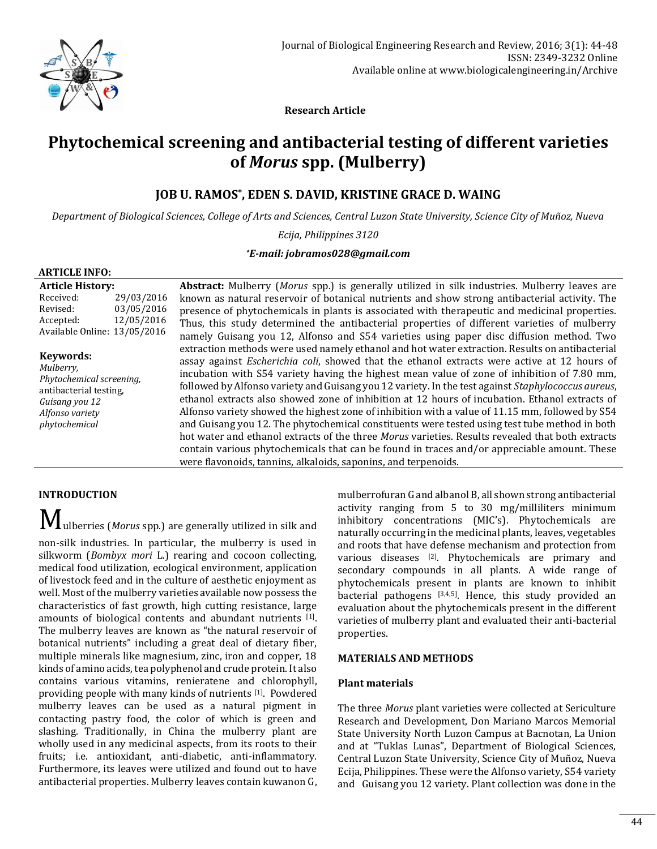

 **Research Article**

# **Phytochemical screening and antibacterial testing of different varieties of** *Morus* **spp. (Mulberry)**

# **JOB U. RAMOS\* , EDEN S. DAVID, KRISTINE GRACE D. WAING**

*Department of Biological Sciences, College of Arts and Sciences, Central Luzon State University, Science City of Muñoz, Nueva*

*Ecija, Philippines 3120*

#### *\*E-mail: [jobramos028@gmail.com](mailto:jobramos028@gmail.com)*

#### **ARTICLE INFO:**

**Article History:** Received: 29/03/2016 Revised: 03/05/2016 Accepted: 12/05/2016 Available Online: 13/05/2016

**Keywords:** *Mulberry, Phytochemical screening,*  antibacterial testing, *Guisang you 12 Alfonso variety phytochemical*

**Abstract:** Mulberry (*Morus* spp.) is generally utilized in silk industries. Mulberry leaves are known as natural reservoir of botanical nutrients and show strong antibacterial activity. The presence of phytochemicals in plants is associated with therapeutic and medicinal properties. Thus, this study determined the antibacterial properties of different varieties of mulberry namely Guisang you 12, Alfonso and S54 varieties using paper disc diffusion method. Two extraction methods were used namely ethanol and hot water extraction. Results on antibacterial assay against *Escherichia coli*, showed that the ethanol extracts were active at 12 hours of incubation with S54 variety having the highest mean value of zone of inhibition of 7.80 mm, followed by Alfonso variety and Guisang you 12 variety. In the test against *Staphylococcus aureus*, ethanol extracts also showed zone of inhibition at 12 hours of incubation. Ethanol extracts of Alfonso variety showed the highest zone of inhibition with a value of 11.15 mm, followed by S54 and Guisang you 12. The phytochemical constituents were tested using test tube method in both hot water and ethanol extracts of the three *Morus* varieties. Results revealed that both extracts contain various phytochemicals that can be found in traces and/or appreciable amount. These were flavonoids, tannins, alkaloids, saponins, and terpenoids.

# **INTRODUCTION**

Mulberries (*Morus* spp.) are generally utilized in silk and non-silk industries. In particular, the mulberry is used in silkworm (*Bombyx mori* L.) rearing and cocoon collecting, medical food utilization, ecological environment, application of livestock feed and in the culture of aesthetic enjoyment as well. Most of the mulberry varieties available now possess the characteristics of fast growth, high cutting resistance, large amounts of biological contents and abundant nutrients [1]. The mulberry leaves are known as "the natural reservoir of botanical nutrients" including a great deal of dietary fiber, multiple minerals like magnesium, zinc, iron and copper, 18 kinds of amino acids, tea polyphenol and crude protein. It also contains various vitamins, renieratene and chlorophyll, providing people with many kinds of nutrients [1]. Powdered mulberry leaves can be used as a natural pigment in contacting pastry food, the color of which is green and slashing. Traditionally, in China the mulberry plant are wholly used in any medicinal aspects, from its roots to their fruits; i.e. antioxidant, anti-diabetic, anti-inflammatory. Furthermore, its leaves were utilized and found out to have antibacterial properties. Mulberry leaves contain kuwanon G, mulberrofuran G and albanol B, all shown strong antibacterial activity ranging from 5 to 30 mg/milliliters minimum inhibitory concentrations (MIC's). Phytochemicals are naturally occurring in the medicinal plants, leaves, vegetables and roots that have defense mechanism and protection from various diseases [2]. Phytochemicals are primary and secondary compounds in all plants. A wide range of phytochemicals present in plants are known to inhibit bacterial pathogens <a>[3,4,5]</a>. Hence, this study provided an evaluation about the phytochemicals present in the different varieties of mulberry plant and evaluated their anti-bacterial properties.

#### **MATERIALS AND METHODS**

#### **Plant materials**

The three *Morus* plant varieties were collected at Sericulture Research and Development, Don Mariano Marcos Memorial State University North Luzon Campus at Bacnotan, La Union and at "Tuklas Lunas", Department of Biological Sciences, Central Luzon State University, Science City of Muñoz, Nueva Ecija, Philippines. These were the Alfonso variety, S54 variety and Guisang you 12 variety. Plant collection was done in the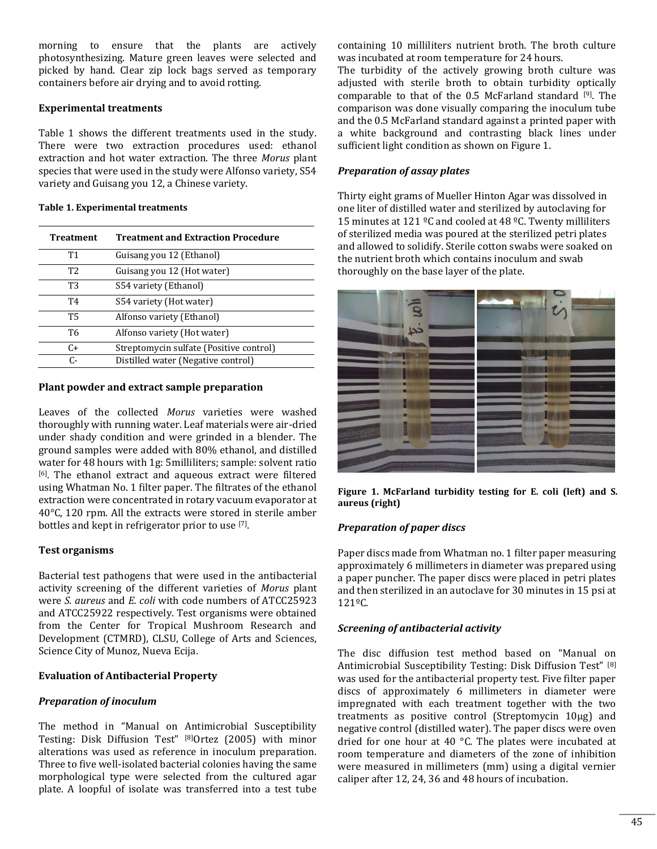morning to ensure that the plants are actively photosynthesizing. Mature green leaves were selected and picked by hand. Clear zip lock bags served as temporary containers before air drying and to avoid rotting.

#### **Experimental treatments**

Table 1 shows the different treatments used in the study. There were two extraction procedures used: ethanol extraction and hot water extraction. The three *Morus* plant species that were used in the study were Alfonso variety, S54 variety and Guisang you 12, a Chinese variety.

#### **Table 1. Experimental treatments**

| <b>Treatment</b> | <b>Treatment and Extraction Procedure</b> |  |  |  |  |
|------------------|-------------------------------------------|--|--|--|--|
| T1               | Guisang you 12 (Ethanol)                  |  |  |  |  |
| T <sub>2</sub>   | Guisang you 12 (Hot water)                |  |  |  |  |
| Т3               | S54 variety (Ethanol)                     |  |  |  |  |
| T <sub>4</sub>   | S54 variety (Hot water)                   |  |  |  |  |
| Т5               | Alfonso variety (Ethanol)                 |  |  |  |  |
| T6               | Alfonso variety (Hot water)               |  |  |  |  |
| C+               | Streptomycin sulfate (Positive control)   |  |  |  |  |
| С-               | Distilled water (Negative control)        |  |  |  |  |

#### **Plant powder and extract sample preparation**

Leaves of the collected *Morus* varieties were washed thoroughly with running water. Leaf materials were air-dried under shady condition and were grinded in a blender. The ground samples were added with 80% ethanol, and distilled water for 48 hours with 1g: 5milliliters; sample: solvent ratio [6]. The ethanol extract and aqueous extract were filtered using Whatman No. 1 filter paper. The filtrates of the ethanol extraction were concentrated in rotary vacuum evaporator at 40°C, 120 rpm. All the extracts were stored in sterile amber bottles and kept in refrigerator prior to use [7].

#### **Test organisms**

Bacterial test pathogens that were used in the antibacterial activity screening of the different varieties of *Morus* plant were *S. aureus* and *E. coli* with code numbers of ATCC25923 and ATCC25922 respectively. Test organisms were obtained from the Center for Tropical Mushroom Research and Development (CTMRD), CLSU, College of Arts and Sciences, Science City of Munoz, Nueva Ecija.

#### **Evaluation of Antibacterial Property**

#### *Preparation of inoculum*

The method in "Manual on Antimicrobial Susceptibility Testing: Disk Diffusion Test" [8]Ortez (2005) with minor alterations was used as reference in inoculum preparation. Three to five well-isolated bacterial colonies having the same morphological type were selected from the cultured agar plate. A loopful of isolate was transferred into a test tube

containing 10 milliliters nutrient broth. The broth culture was incubated at room temperature for 24 hours.

The turbidity of the actively growing broth culture was adjusted with sterile broth to obtain turbidity optically comparable to that of the 0.5 McFarland standard [9]. The comparison was done visually comparing the inoculum tube and the 0.5 McFarland standard against a printed paper with a white background and contrasting black lines under sufficient light condition as shown on Figure 1.

### *Preparation of assay plates*

Thirty eight grams of Mueller Hinton Agar was dissolved in one liter of distilled water and sterilized by autoclaving for 15 minutes at 121 ºC and cooled at 48 ºC. Twenty milliliters of sterilized media was poured at the sterilized petri plates and allowed to solidify. Sterile cotton swabs were soaked on the nutrient broth which contains inoculum and swab thoroughly on the base layer of the plate.



**Figure 1. McFarland turbidity testing for E. coli (left) and S. aureus (right)**

# *Preparation of paper discs*

Paper discs made from Whatman no. 1 filter paper measuring approximately 6 millimeters in diameter was prepared using a paper puncher. The paper discs were placed in petri plates and then sterilized in an autoclave for 30 minutes in 15 psi at 121ºC.

#### *Screening of antibacterial activity*

The disc diffusion test method based on "Manual on Antimicrobial Susceptibility Testing: Disk Diffusion Test" [8] was used for the antibacterial property test. Five filter paper discs of approximately 6 millimeters in diameter were impregnated with each treatment together with the two treatments as positive control (Streptomycin 10µg) and negative control (distilled water). The paper discs were oven dried for one hour at 40 °C. The plates were incubated at room temperature and diameters of the zone of inhibition were measured in millimeters (mm) using a digital vernier caliper after 12, 24, 36 and 48 hours of incubation.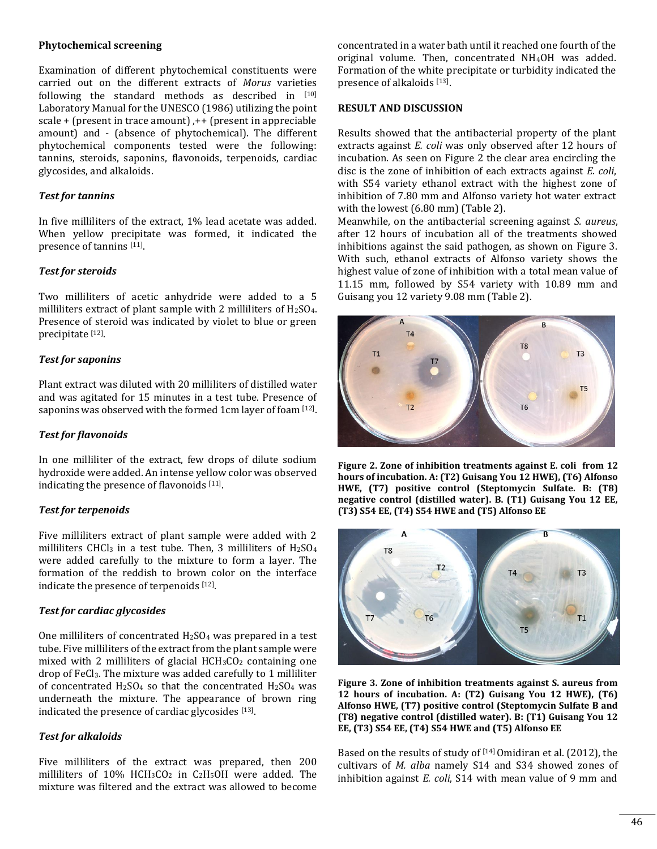#### **Phytochemical screening**

Examination of different phytochemical constituents were carried out on the different extracts of *Morus* varieties following the standard methods as described in [10] Laboratory Manual for the UNESCO (1986) utilizing the point scale + (present in trace amount) ,++ (present in appreciable amount) and - (absence of phytochemical). The different phytochemical components tested were the following: tannins, steroids, saponins, flavonoids, terpenoids, cardiac glycosides, and alkaloids.

#### *Test for tannins*

In five milliliters of the extract, 1% lead acetate was added. When yellow precipitate was formed, it indicated the presence of tannins [11].

#### *Test for steroids*

Two milliliters of acetic anhydride were added to a 5 milliliters extract of plant sample with 2 milliliters of H2SO4. Presence of steroid was indicated by violet to blue or green precipitate [12] .

#### *Test for saponins*

Plant extract was diluted with 20 milliliters of distilled water and was agitated for 15 minutes in a test tube. Presence of saponins was observed with the formed 1cm layer of foam <a>[12]</a>.

#### *Test for flavonoids*

In one milliliter of the extract, few drops of dilute sodium hydroxide were added. An intense yellow color was observed indicating the presence of flavonoids [11].

#### *Test for terpenoids*

Five milliliters extract of plant sample were added with 2 milliliters CHCl<sub>3</sub> in a test tube. Then, 3 milliliters of  $H<sub>2</sub>SO<sub>4</sub>$ were added carefully to the mixture to form a layer. The formation of the reddish to brown color on the interface indicate the presence of terpenoids [12].

#### *Test for cardiac glycosides*

One milliliters of concentrated  $H<sub>2</sub>SO<sub>4</sub>$  was prepared in a test tube. Five milliliters of the extract from the plant sample were mixed with 2 milliliters of glacial  $HCH<sub>3</sub>CO<sub>2</sub>$  containing one drop of FeCl3. The mixture was added carefully to 1 milliliter of concentrated  $H<sub>2</sub>SO<sub>4</sub>$  so that the concentrated  $H<sub>2</sub>SO<sub>4</sub>$  was underneath the mixture. The appearance of brown ring indicated the presence of cardiac glycosides [13].

#### *Test for alkaloids*

Five milliliters of the extract was prepared, then 200 milliliters of 10% HCH3CO<sup>2</sup> in C2H5OH were added. The mixture was filtered and the extract was allowed to become

concentrated in a water bath until it reached one fourth of the original volume. Then, concentrated NH4OH was added. Formation of the white precipitate or turbidity indicated the presence of alkaloids [13].

#### **RESULT AND DISCUSSION**

Results showed that the antibacterial property of the plant extracts against *E. coli* was only observed after 12 hours of incubation. As seen on Figure 2 the clear area encircling the disc is the zone of inhibition of each extracts against *E. coli*, with S54 variety ethanol extract with the highest zone of inhibition of 7.80 mm and Alfonso variety hot water extract with the lowest (6.80 mm) (Table 2).

Meanwhile, on the antibacterial screening against *S. aureus*, after 12 hours of incubation all of the treatments showed inhibitions against the said pathogen, as shown on Figure 3. With such, ethanol extracts of Alfonso variety shows the highest value of zone of inhibition with a total mean value of 11.15 mm, followed by S54 variety with 10.89 mm and Guisang you 12 variety 9.08 mm (Table 2).



**Figure 2. Zone of inhibition treatments against E. coli from 12 hours of incubation. A: (T2) Guisang You 12 HWE), (T6) Alfonso HWE, (T7) positive control (Steptomycin Sulfate. B: (T8) negative control (distilled water). B. (T1) Guisang You 12 EE, (T3) S54 EE, (T4) S54 HWE and (T5) Alfonso EE**



**Figure 3. Zone of inhibition treatments against S. aureus from 12 hours of incubation. A: (T2) Guisang You 12 HWE), (T6) Alfonso HWE, (T7) positive control (Steptomycin Sulfate B and (T8) negative control (distilled water). B: (T1) Guisang You 12 EE, (T3) S54 EE, (T4) S54 HWE and (T5) Alfonso EE**

Based on the results of study of  $[14]$  Omidiran et al. (2012), the cultivars of *M. alba* namely S14 and S34 showed zones of inhibition against *E. coli*, S14 with mean value of 9 mm and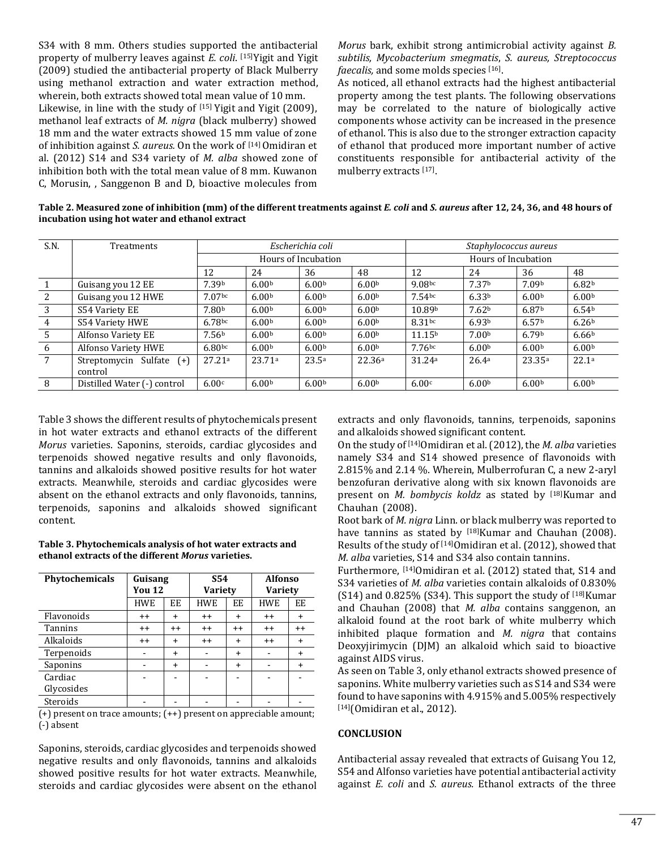S34 with 8 mm. Others studies supported the antibacterial property of mulberry leaves against *E. coli*. [15]Yigit and Yigit (2009) studied the antibacterial property of Black Mulberry using methanol extraction and water extraction method, wherein, both extracts showed total mean value of 10 mm. Likewise, in line with the study of [15] Yigit and Yigit (2009), methanol leaf extracts of *M. nigra* (black mulberry) showed 18 mm and the water extracts showed 15 mm value of zone of inhibition against *S. aureus*. On the work of <sup>[14]</sup> Omidiran et al. (2012) S14 and S34 variety of *M. alba* showed zone of inhibition both with the total mean value of 8 mm. Kuwanon C, Morusin, , Sanggenon B and D, bioactive molecules from

*Morus* bark, exhibit strong antimicrobial activity against *B. subtilis, Mycobacterium smegmatis*, *S. aureus, Streptococcus*  faecalis, and some molds species [16].

As noticed, all ethanol extracts had the highest antibacterial property among the test plants. The following observations may be correlated to the nature of biologically active components whose activity can be increased in the presence of ethanol. This is also due to the stronger extraction capacity of ethanol that produced more important number of active constituents responsible for antibacterial activity of the mulberry extracts [17].

**Table 2. Measured zone of inhibition (mm) of the different treatments against** *E. coli* **and** *S. aureus* **after 12, 24, 36, and 48 hours of incubation using hot water and ethanol extract**

| S.N.           | <b>Treatments</b>           | Escherichia coli    |                   |                   |                   | Staphylococcus aureus |                   |                   |                   |
|----------------|-----------------------------|---------------------|-------------------|-------------------|-------------------|-----------------------|-------------------|-------------------|-------------------|
|                |                             | Hours of Incubation |                   |                   |                   | Hours of Incubation   |                   |                   |                   |
|                |                             | 12                  | 24                | 36                | 48                | 12                    | 24                | 36                | 48                |
|                | Guisang you 12 EE           | 7.39b               | 6.00 <sub>b</sub> | 6.00 <sub>b</sub> | 6.00 <sup>b</sup> | 9.08 <sub>bc</sub>    | 7.37b             | 7.09b             | 6.82b             |
| 2              | Guisang you 12 HWE          | 7.07 <sub>bc</sub>  | 6.00 <sub>b</sub> | 6.00 <sup>b</sup> | 6.00 <sup>b</sup> | 7.54 <sub>bc</sub>    | 6.33b             | 6.00 <sup>b</sup> | 6.00 <sup>b</sup> |
| 3              | S54 Variety EE              | 7.80b               | 6.00 <sub>b</sub> | 6.00 <sub>b</sub> | 6.00 <sub>b</sub> | 10.89b                | 7.62 <sup>b</sup> | 6.87b             | 6.54 <sup>b</sup> |
| $\overline{4}$ | S54 Variety HWE             | 6.78bc              | 6.00 <sub>b</sub> | 6.00 <sub>b</sub> | 6.00 <sub>b</sub> | 8.31 <sub>bc</sub>    | 6.93b             | 6.57 <sup>b</sup> | 6.26 <sup>b</sup> |
| 5              | Alfonso Variety EE          | 7.56 <sup>b</sup>   | 6.00 <sub>b</sub> | 6.00 <sup>b</sup> | 6.00 <sup>b</sup> | 11.15 <sup>b</sup>    | 7.00 <sub>b</sub> | 6.79 <sub>b</sub> | 6.66 <sup>b</sup> |
| 6              | Alfonso Variety HWE         | 6.80 <sub>bc</sub>  | 6.00 <sub>b</sub> | 6.00 <sub>b</sub> | 6.00 <sup>b</sup> | 7.76 <sub>bc</sub>    | 6.00 <sup>b</sup> | 6.00 <sub>b</sub> | 6.00 <sup>b</sup> |
| $\overline{7}$ | Streptomycin Sulfate (+)    | 27.21a              | 23.71a            | 23.5a             | 22.36a            | 31.24a                | 26.4a             | 23.35a            | 22.1a             |
|                | control                     |                     |                   |                   |                   |                       |                   |                   |                   |
| 8              | Distilled Water (-) control | 6.00c               | 6.00 <sup>b</sup> | 6.00 <sup>b</sup> | 6.00 <sup>b</sup> | 6.00c                 | 6.00 <sup>b</sup> | 6.00 <sup>b</sup> | 6.00 <sup>b</sup> |

Table 3 shows the different results of phytochemicals present in hot water extracts and ethanol extracts of the different *Morus* varieties. Saponins, steroids, cardiac glycosides and terpenoids showed negative results and only flavonoids, tannins and alkaloids showed positive results for hot water extracts. Meanwhile, steroids and cardiac glycosides were absent on the ethanol extracts and only flavonoids, tannins, terpenoids, saponins and alkaloids showed significant content.

#### **Table 3. Phytochemicals analysis of hot water extracts and ethanol extracts of the different** *Morus* **varieties.**

| Phytochemicals        | Guisang<br><b>You 12</b> |           | S54<br><b>Variety</b> |           | <b>Alfonso</b><br>Variety |           |  |
|-----------------------|--------------------------|-----------|-----------------------|-----------|---------------------------|-----------|--|
|                       | <b>HWE</b>               | EE.       | <b>HWE</b>            | EE        | <b>HWE</b>                | EE        |  |
| Flavonoids            | $++$                     | $\ddot{}$ | $++$                  | $\ddot{}$ | $++$                      | $\ddot{}$ |  |
| <b>Tannins</b>        | $++$                     | $^{++}$   | $++$                  | $^{++}$   | $++$                      | $^{++}$   |  |
| Alkaloids             | $++$                     | $\ddot{}$ | $++$                  | $\ddot{}$ | $++$                      | $\ddot{}$ |  |
| Terpenoids            |                          | $\ddot{}$ |                       | $\ddot{}$ |                           | $\ddot{}$ |  |
| Saponins              |                          | $\ddot{}$ |                       | $\ddot{}$ |                           | $\ddot{}$ |  |
| Cardiac<br>Glycosides |                          |           |                       |           |                           |           |  |
| Steroids              |                          |           |                       |           |                           |           |  |

 $(+)$  present on trace amounts;  $(++)$  present on appreciable amount; (-) absent

Saponins, steroids, cardiac glycosides and terpenoids showed negative results and only flavonoids, tannins and alkaloids showed positive results for hot water extracts. Meanwhile, steroids and cardiac glycosides were absent on the ethanol extracts and only flavonoids, tannins, terpenoids, saponins and alkaloids showed significant content.

On the study of [14]Omidiran et al. (2012), the *M. alba* varieties namely S34 and S14 showed presence of flavonoids with 2.815% and 2.14 %. Wherein, Mulberrofuran C, a new 2-aryl benzofuran derivative along with six known flavonoids are present on *M. bombycis koldz* as stated by <sup>[18]</sup>Kumar and Chauhan (2008).

Root bark of *M. nigra* Linn. or black mulberry was reported to have tannins as stated by [18]Kumar and Chauhan (2008). Results of the study of [14]Omidiran et al. (2012), showed that *M. alba* varieties, S14 and S34 also contain tannins.

Furthermore, [14]Omidiran et al. (2012) stated that, S14 and S34 varieties of *M. alba* varieties contain alkaloids of 0.830% (S14) and 0.825% (S34). This support the study of  $[18]$ Kumar and Chauhan (2008) that *M. alba* contains sanggenon, an alkaloid found at the root bark of white mulberry which inhibited plaque formation and *M. nigra* that contains Deoxyjirimycin (DJM) an alkaloid which said to bioactive against AIDS virus.

As seen on Table 3, only ethanol extracts showed presence of saponins. White mulberry varieties such as S14 and S34 were found to have saponins with 4.915% and 5.005% respectively [14] (Omidiran et al., 2012).

#### **CONCLUSION**

Antibacterial assay revealed that extracts of Guisang You 12, S54 and Alfonso varieties have potential antibacterial activity against *E. coli* and *S. aureus.* Ethanol extracts of the three